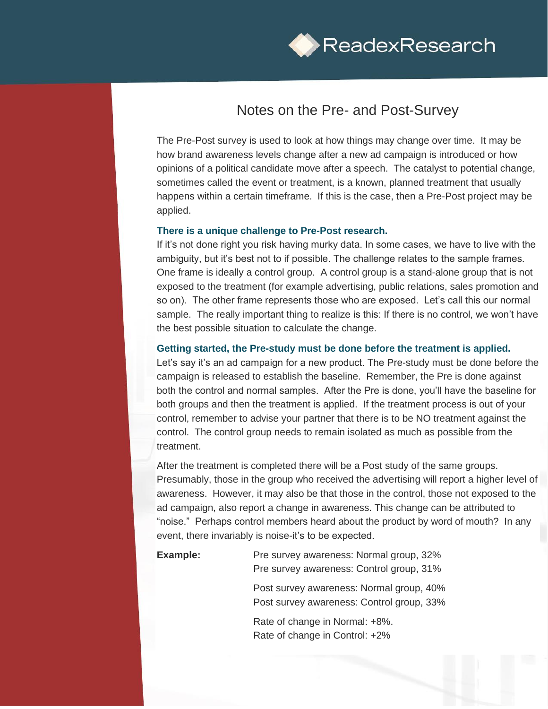

## Notes on the Pre- and Post-Survey

The Pre-Post survey is used to look at how things may change over time. It may be how brand awareness levels change after a new ad campaign is introduced or how opinions of a political candidate move after a speech. The catalyst to potential change, sometimes called the event or treatment, is a known, planned treatment that usually happens within a certain timeframe. If this is the case, then a Pre-Post project may be applied.

## **There is a unique challenge to Pre-Post research.**

If it's not done right you risk having murky data. In some cases, we have to live with the ambiguity, but it's best not to if possible. The challenge relates to the sample frames. One frame is ideally a control group. A control group is a stand-alone group that is not exposed to the treatment (for example advertising, public relations, sales promotion and so on). The other frame represents those who are exposed. Let's call this our normal sample. The really important thing to realize is this: If there is no control, we won't have the best possible situation to calculate the change.

## **Getting started, the Pre-study must be done before the treatment is applied.**

Let's say it's an ad campaign for a new product. The Pre-study must be done before the campaign is released to establish the baseline. Remember, the Pre is done against both the control and normal samples. After the Pre is done, you'll have the baseline for both groups and then the treatment is applied. If the treatment process is out of your control, remember to advise your partner that there is to be NO treatment against the control. The control group needs to remain isolated as much as possible from the treatment.

After the treatment is completed there will be a Post study of the same groups. Presumably, those in the group who received the advertising will report a higher level of awareness. However, it may also be that those in the control, those not exposed to the ad campaign, also report a change in awareness. This change can be attributed to "noise." Perhaps control members heard about the product by word of mouth? In any event, there invariably is noise-it's to be expected.

**Example:** Pre survey awareness: Normal group, 32% Pre survey awareness: Control group, 31%

> Post survey awareness: Normal group, 40% Post survey awareness: Control group, 33%

Rate of change in Normal: +8%. Rate of change in Control: +2%